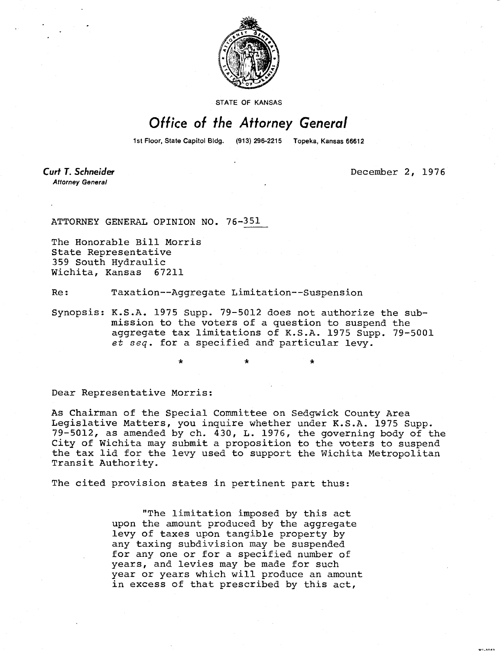

**STATE OF KANSAS** 

## Office of the Attorney General

1st Floor, State Capitol Bidg. (913) 296-2215 Topeka, Kansas 66612

**Curt T. Schneider Attorney General** 

December 2, 1976

ATTORNEY GENERAL OPINION NO. 76-351

The Honorable Bill Morris State Representative 359 South Hydraulic Wichita, Kansas 67211

Re: Taxation--Aggregate Limitation--Suspension

Synopsis: K.S.A. 1975 Supp. 79-5012 does not authorize the submission to the voters of a question to suspend the aggregate tax limitations of K.S.A. 1975 Supp. 79-5001 et seq. for a specified and particular levy.

Dear Representative Morris:

As Chairman of the Special Committee on Sedgwick County Area Legislative Matters, you inquire whether under K.S.A. 1975 Supp. 79-5012, as amended by ch. 430, L. 1976, the governing body of the City of Wichita may submit a proposition to the voters to suspend the tax lid for the levy used to support the Wichita Metropolitan Transit Authority.

The cited provision states in pertinent part thus:

"The limitation imposed by this act upon the amount produced by the aggregate levy of taxes upon tangible property by any taxing subdivision may be suspended for any one or for a specified number of years, and levies may be made for such year or years which will produce an amount in excess of that prescribed by this act,